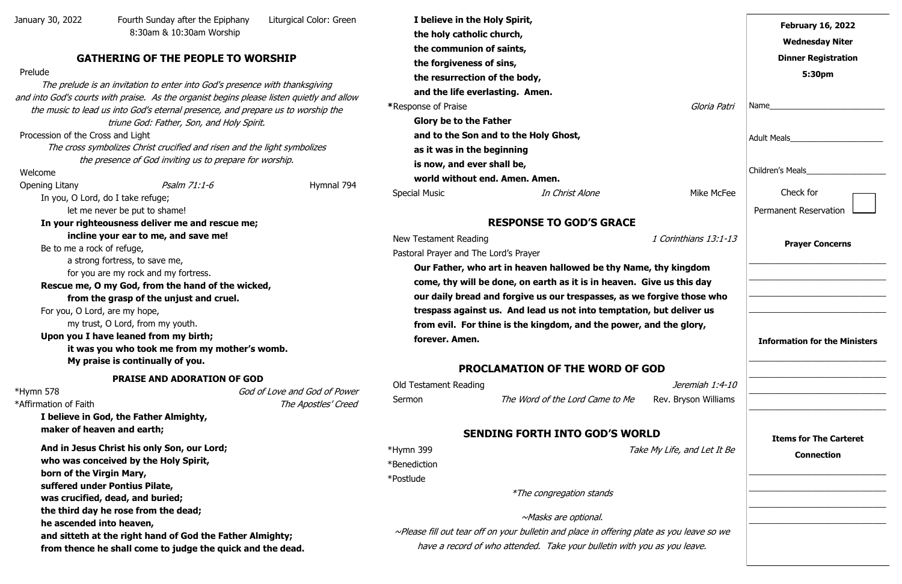January 30, 2022 Fourth Sunday after the Epiphany Liturgical Color: Green 8:30am & 10:30am Worship

# **GATHERING OF THE PEOPLE TO WORSHIP**

#### Prelude

The prelude is an invitation to enter into God's presence with thanksgiving and into God's courts with praise. As the organist begins please listen quietly and allow the music to lead us into God's eternal presence, and prepare us to worship the triune God: Father, Son, and Holy Spirit.

Procession of the Cross and Light

The cross symbolizes Christ crucified and risen and the light symbolizes the presence of God inviting us to prepare for worship.

Welcome

\*Hymn 578 God of Love and God of Power \*Affirmation of Faith The Apostles' Creed

Opening Litany **Psalm 71:1-6** Hymnal 794

In you, O Lord, do I take refuge; let me never be put to shame!

**In your righteousness deliver me and rescue me; incline your ear to me, and save me!** 

Be to me a rock of refuge,

**I believe in the Holy Spirit, the holy catholic church, the communion of saints, the forgiveness of sins, the resurrection of the body, and the life everlasting. Amen. \***Response of Praise **Glory be to the Father and to the Son and to the Holy Ghost, as it was in the beginning is now, and ever shall be, world without end. Amen. Amen. Special Music** *In Christ Alone* 

a strong fortress, to save me, for you are my rock and my fortress.

### **Rescue me, O my God, from the hand of the wicked, from the grasp of the unjust and cruel.**

For you, O Lord, are my hope,

my trust, O Lord, from my youth.

# **Upon you I have leaned from my birth;**

**it was you who took me from my mother's womb. My praise is continually of you.**

#### **PRAISE AND ADORATION OF GOD**

**Our Father, who art in heaven hallowed be thy Name, thy** come, thy will be done, on earth as it is in heaven. Give **our daily bread and forgive us our trespasses, as we forget** trespass against us. And lead us not into temptation, but from evil. For thine is the kingdom, and the power, and **forever. Amen.**

**I believe in God, the Father Almighty, maker of heaven and earth;**

> \*Hymn 399 Take My \*Benediction

**And in Jesus Christ his only Son, our Lord; who was conceived by the Holy Spirit, born of the Virgin Mary, suffered under Pontius Pilate, was crucified, dead, and buried; the third day he rose from the dead; he ascended into heaven, and sitteth at the right hand of God the Father Almighty; from thence he shall come to judge the quick and the dead.**

# **RESPONSE TO GOD'S GRACE**

New Testament Reading 1 Correct and 1 Correct and 1 Correct and 1 Correct and 1 Correct and 1 Correct and 1 Correct and 1 Correct and 1 Correct and 1 Correct and 1 Correct and 1 Correct and 1 Correct and 1 Correct and 1 Co

Pastoral Prayer and The Lord's Prayer

# **PROCLAMATION OF THE WORD OF GOD**

| Old Testament Reading |                                 | Jeremiah 1:4-10      |
|-----------------------|---------------------------------|----------------------|
| Sermon                | The Word of the Lord Came to Me | Rev. Bryson Williams |

# **SENDING FORTH INTO GOD'S WORLD**

\*Postlude

\*The congregation stands

~Masks are optional.

 $\sim$ Please fill out tear off on your bulletin and place in offering plate as have a record of who attended. Take your bulletin with you as

|                                          | <b>February 16, 2022</b><br><b>Wednesday Niter</b><br><b>Dinner Registration</b><br>5:30pm                           |
|------------------------------------------|----------------------------------------------------------------------------------------------------------------------|
| Gloria Patri                             |                                                                                                                      |
|                                          | Adult Meals_________________________                                                                                 |
|                                          | Children's Meals_____________________                                                                                |
| Mike McFee                               | Check for<br><b>Permanent Reservation</b>                                                                            |
| Corinthians 13:1-13                      | <b>Prayer Concerns</b>                                                                                               |
| y kingdom                                |                                                                                                                      |
| us this day<br>jive those who            | <u> 1989 - Johann Barbara, martxa alemani</u> ar a                                                                   |
| ıt deliver us                            | <u> 1989 - Johann John Stone, mars eta bat eta bat eta bat eta bat eta bat eta bat eta bat eta bat eta bat eta b</u> |
| the glory,                               | <b>Information for the Ministers</b>                                                                                 |
|                                          |                                                                                                                      |
| Jeremiah 1:4-10<br>v. Bryson Williams    |                                                                                                                      |
| Life, and Let It Be                      | <b>Items for The Carteret</b><br><b>Connection</b>                                                                   |
|                                          |                                                                                                                      |
| <i>s you leave so we</i><br>; you leave. |                                                                                                                      |